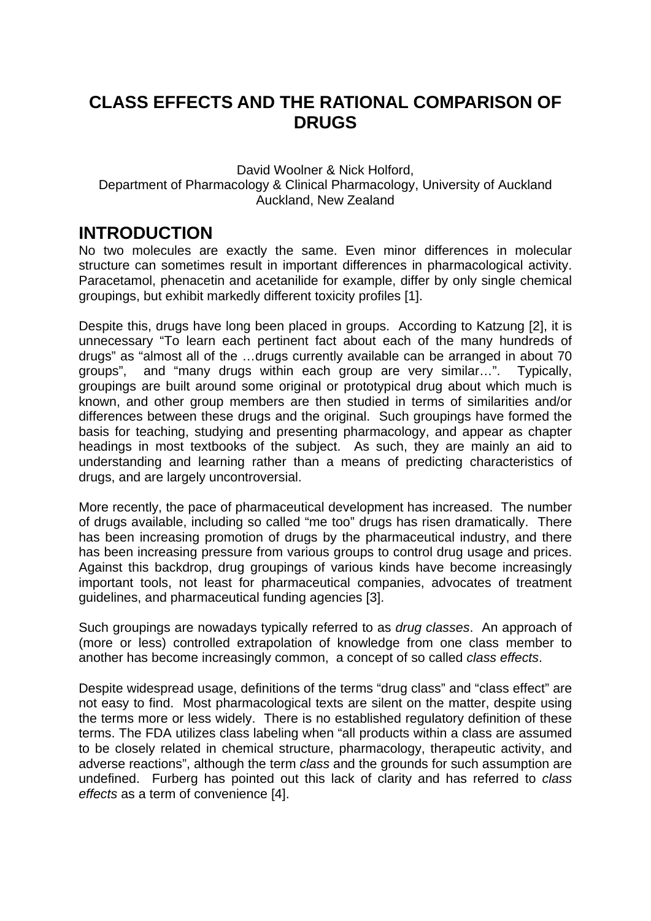## **CLASS EFFECTS AND THE RATIONAL COMPARISON OF DRUGS**

#### David Woolner & Nick Holford, Department of Pharmacology & Clinical Pharmacology, University of Auckland Auckland, New Zealand

## **INTRODUCTION**

No two molecules are exactly the same. Even minor differences in molecular structure can sometimes result in important differences in pharmacological activity. Paracetamol, phenacetin and acetanilide for example, differ by only single chemical groupings, but exhibit markedly different toxicity profiles [1].

Despite this, drugs have long been placed in groups. According to Katzung [2], it is unnecessary "To learn each pertinent fact about each of the many hundreds of drugs" as "almost all of the …drugs currently available can be arranged in about 70 groups", and "many drugs within each group are very similar…". Typically, groupings are built around some original or prototypical drug about which much is known, and other group members are then studied in terms of similarities and/or differences between these drugs and the original. Such groupings have formed the basis for teaching, studying and presenting pharmacology, and appear as chapter headings in most textbooks of the subject. As such, they are mainly an aid to understanding and learning rather than a means of predicting characteristics of drugs, and are largely uncontroversial.

More recently, the pace of pharmaceutical development has increased. The number of drugs available, including so called "me too" drugs has risen dramatically. There has been increasing promotion of drugs by the pharmaceutical industry, and there has been increasing pressure from various groups to control drug usage and prices. Against this backdrop, drug groupings of various kinds have become increasingly important tools, not least for pharmaceutical companies, advocates of treatment guidelines, and pharmaceutical funding agencies [3].

Such groupings are nowadays typically referred to as *drug classes*. An approach of (more or less) controlled extrapolation of knowledge from one class member to another has become increasingly common, a concept of so called *class effects*.

Despite widespread usage, definitions of the terms "drug class" and "class effect" are not easy to find. Most pharmacological texts are silent on the matter, despite using the terms more or less widely. There is no established regulatory definition of these terms. The FDA utilizes class labeling when "all products within a class are assumed to be closely related in chemical structure, pharmacology, therapeutic activity, and adverse reactions", although the term *class* and the grounds for such assumption are undefined. Furberg has pointed out this lack of clarity and has referred to *class effects* as a term of convenience [4].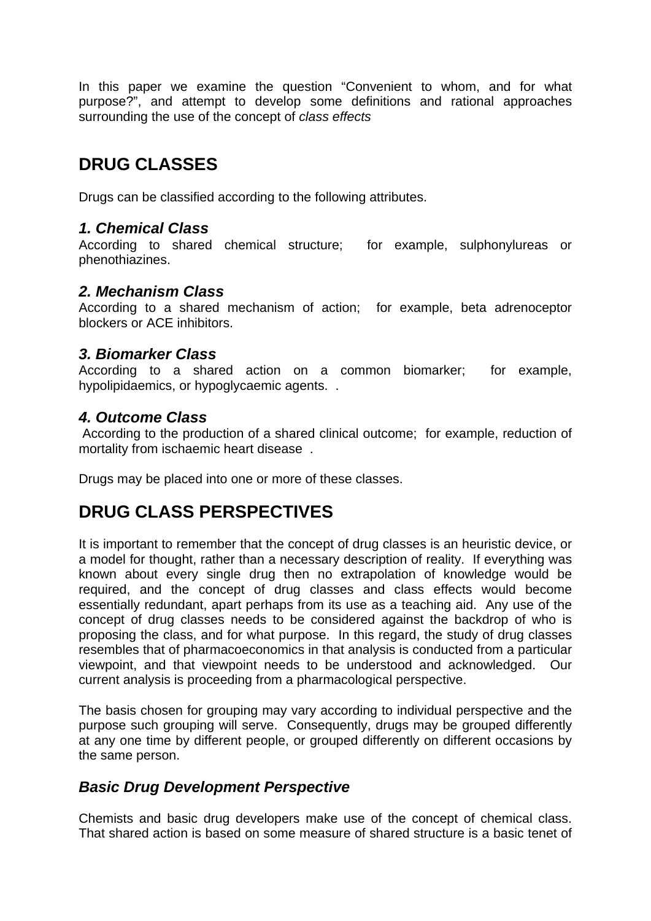In this paper we examine the question "Convenient to whom, and for what purpose?", and attempt to develop some definitions and rational approaches surrounding the use of the concept of *class effects*

# **DRUG CLASSES**

Drugs can be classified according to the following attributes.

#### *1. Chemical Class*

According to shared chemical structure; for example, sulphonylureas or phenothiazines.

#### *2. Mechanism Class*

According to a shared mechanism of action; for example, beta adrenoceptor blockers or ACE inhibitors.

#### *3. Biomarker Class*

According to a shared action on a common biomarker; for example, hypolipidaemics, or hypoglycaemic agents. .

#### *4. Outcome Class*

 According to the production of a shared clinical outcome; for example, reduction of mortality from ischaemic heart disease .

Drugs may be placed into one or more of these classes.

## **DRUG CLASS PERSPECTIVES**

It is important to remember that the concept of drug classes is an heuristic device, or a model for thought, rather than a necessary description of reality. If everything was known about every single drug then no extrapolation of knowledge would be required, and the concept of drug classes and class effects would become essentially redundant, apart perhaps from its use as a teaching aid. Any use of the concept of drug classes needs to be considered against the backdrop of who is proposing the class, and for what purpose. In this regard, the study of drug classes resembles that of pharmacoeconomics in that analysis is conducted from a particular viewpoint, and that viewpoint needs to be understood and acknowledged. Our current analysis is proceeding from a pharmacological perspective.

The basis chosen for grouping may vary according to individual perspective and the purpose such grouping will serve. Consequently, drugs may be grouped differently at any one time by different people, or grouped differently on different occasions by the same person.

#### *Basic Drug Development Perspective*

Chemists and basic drug developers make use of the concept of chemical class. That shared action is based on some measure of shared structure is a basic tenet of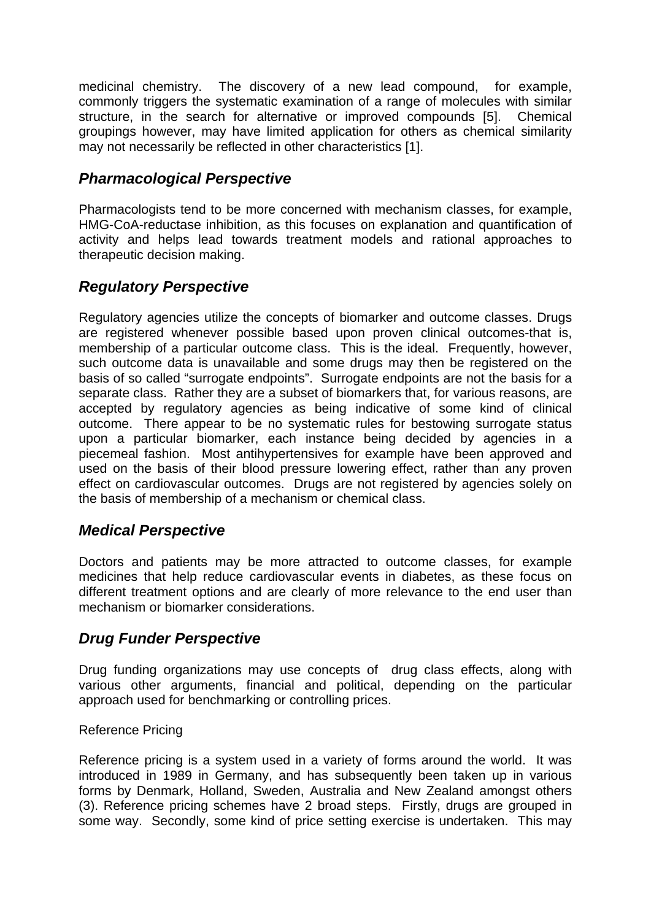medicinal chemistry. The discovery of a new lead compound, for example, commonly triggers the systematic examination of a range of molecules with similar structure, in the search for alternative or improved compounds [5]. Chemical groupings however, may have limited application for others as chemical similarity may not necessarily be reflected in other characteristics [1].

### *Pharmacological Perspective*

Pharmacologists tend to be more concerned with mechanism classes, for example, HMG-CoA-reductase inhibition, as this focuses on explanation and quantification of activity and helps lead towards treatment models and rational approaches to therapeutic decision making.

## *Regulatory Perspective*

Regulatory agencies utilize the concepts of biomarker and outcome classes. Drugs are registered whenever possible based upon proven clinical outcomes-that is, membership of a particular outcome class. This is the ideal. Frequently, however, such outcome data is unavailable and some drugs may then be registered on the basis of so called "surrogate endpoints". Surrogate endpoints are not the basis for a separate class. Rather they are a subset of biomarkers that, for various reasons, are accepted by regulatory agencies as being indicative of some kind of clinical outcome. There appear to be no systematic rules for bestowing surrogate status upon a particular biomarker, each instance being decided by agencies in a piecemeal fashion. Most antihypertensives for example have been approved and used on the basis of their blood pressure lowering effect, rather than any proven effect on cardiovascular outcomes. Drugs are not registered by agencies solely on the basis of membership of a mechanism or chemical class.

## *Medical Perspective*

Doctors and patients may be more attracted to outcome classes, for example medicines that help reduce cardiovascular events in diabetes, as these focus on different treatment options and are clearly of more relevance to the end user than mechanism or biomarker considerations.

## *Drug Funder Perspective*

Drug funding organizations may use concepts of drug class effects, along with various other arguments, financial and political, depending on the particular approach used for benchmarking or controlling prices.

#### Reference Pricing

Reference pricing is a system used in a variety of forms around the world. It was introduced in 1989 in Germany, and has subsequently been taken up in various forms by Denmark, Holland, Sweden, Australia and New Zealand amongst others (3). Reference pricing schemes have 2 broad steps. Firstly, drugs are grouped in some way. Secondly, some kind of price setting exercise is undertaken. This may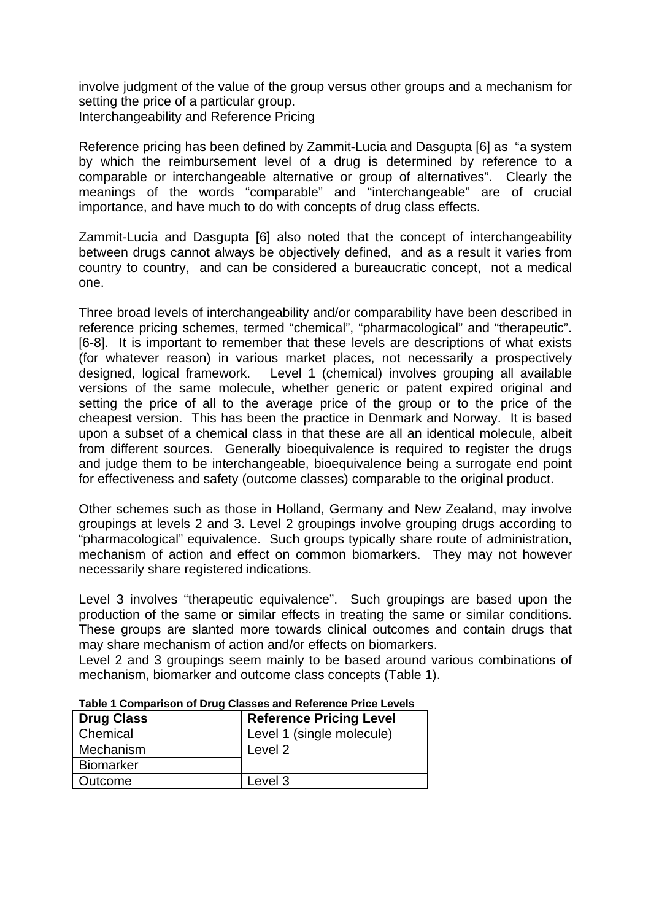involve judgment of the value of the group versus other groups and a mechanism for setting the price of a particular group. Interchangeability and Reference Pricing

Reference pricing has been defined by Zammit-Lucia and Dasgupta [6] as "a system by which the reimbursement level of a drug is determined by reference to a comparable or interchangeable alternative or group of alternatives". Clearly the meanings of the words "comparable" and "interchangeable" are of crucial importance, and have much to do with concepts of drug class effects.

Zammit-Lucia and Dasgupta [6] also noted that the concept of interchangeability between drugs cannot always be objectively defined, and as a result it varies from country to country, and can be considered a bureaucratic concept, not a medical one.

Three broad levels of interchangeability and/or comparability have been described in reference pricing schemes, termed "chemical", "pharmacological" and "therapeutic". [6-8]. It is important to remember that these levels are descriptions of what exists (for whatever reason) in various market places, not necessarily a prospectively designed, logical framework. Level 1 (chemical) involves grouping all available versions of the same molecule, whether generic or patent expired original and setting the price of all to the average price of the group or to the price of the cheapest version. This has been the practice in Denmark and Norway. It is based upon a subset of a chemical class in that these are all an identical molecule, albeit from different sources. Generally bioequivalence is required to register the drugs and judge them to be interchangeable, bioequivalence being a surrogate end point for effectiveness and safety (outcome classes) comparable to the original product.

Other schemes such as those in Holland, Germany and New Zealand, may involve groupings at levels 2 and 3. Level 2 groupings involve grouping drugs according to "pharmacological" equivalence. Such groups typically share route of administration, mechanism of action and effect on common biomarkers. They may not however necessarily share registered indications.

Level 3 involves "therapeutic equivalence". Such groupings are based upon the production of the same or similar effects in treating the same or similar conditions. These groups are slanted more towards clinical outcomes and contain drugs that may share mechanism of action and/or effects on biomarkers.

Level 2 and 3 groupings seem mainly to be based around various combinations of mechanism, biomarker and outcome class concepts (Table 1).

| <b>Drug Class</b> | <b>Reference Pricing Level</b> |
|-------------------|--------------------------------|
| Chemical          | Level 1 (single molecule)      |
| Mechanism         | Level 2                        |
| <b>Biomarker</b>  |                                |
| Outcome           | Level 3                        |

**Table 1 Comparison of Drug Classes and Reference Price Levels**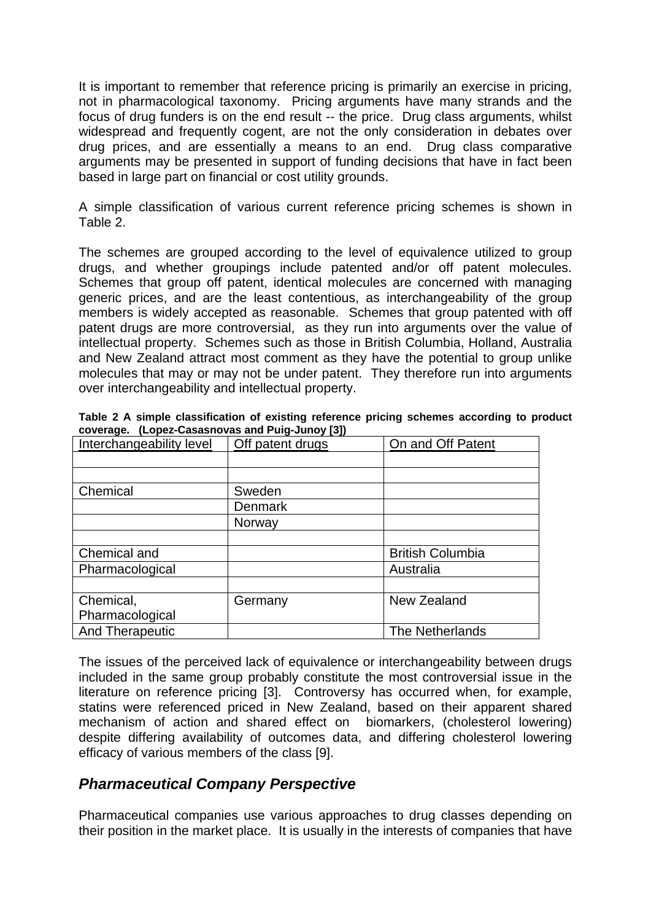It is important to remember that reference pricing is primarily an exercise in pricing, not in pharmacological taxonomy. Pricing arguments have many strands and the focus of drug funders is on the end result -- the price. Drug class arguments, whilst widespread and frequently cogent, are not the only consideration in debates over drug prices, and are essentially a means to an end. Drug class comparative arguments may be presented in support of funding decisions that have in fact been based in large part on financial or cost utility grounds.

A simple classification of various current reference pricing schemes is shown in Table 2.

The schemes are grouped according to the level of equivalence utilized to group drugs, and whether groupings include patented and/or off patent molecules. Schemes that group off patent, identical molecules are concerned with managing generic prices, and are the least contentious, as interchangeability of the group members is widely accepted as reasonable. Schemes that group patented with off patent drugs are more controversial, as they run into arguments over the value of intellectual property. Schemes such as those in British Columbia, Holland, Australia and New Zealand attract most comment as they have the potential to group unlike molecules that may or may not be under patent. They therefore run into arguments over interchangeability and intellectual property.

| Interchangeability level | Off patent drugs | On and Off Patent       |
|--------------------------|------------------|-------------------------|
|                          |                  |                         |
|                          |                  |                         |
| Chemical                 | Sweden           |                         |
|                          | <b>Denmark</b>   |                         |
|                          | Norway           |                         |
|                          |                  |                         |
| Chemical and             |                  | <b>British Columbia</b> |
| Pharmacological          |                  | Australia               |
|                          |                  |                         |
| Chemical,                | Germany          | New Zealand             |
| Pharmacological          |                  |                         |
| <b>And Therapeutic</b>   |                  | The Netherlands         |

**Table 2 A simple classification of existing reference pricing schemes according to product coverage. (Lopez-Casasnovas and Puig-Junoy [3])** 

The issues of the perceived lack of equivalence or interchangeability between drugs included in the same group probably constitute the most controversial issue in the literature on reference pricing [3]. Controversy has occurred when, for example, statins were referenced priced in New Zealand, based on their apparent shared mechanism of action and shared effect on biomarkers, (cholesterol lowering) despite differing availability of outcomes data, and differing cholesterol lowering efficacy of various members of the class [9].

#### *Pharmaceutical Company Perspective*

Pharmaceutical companies use various approaches to drug classes depending on their position in the market place. It is usually in the interests of companies that have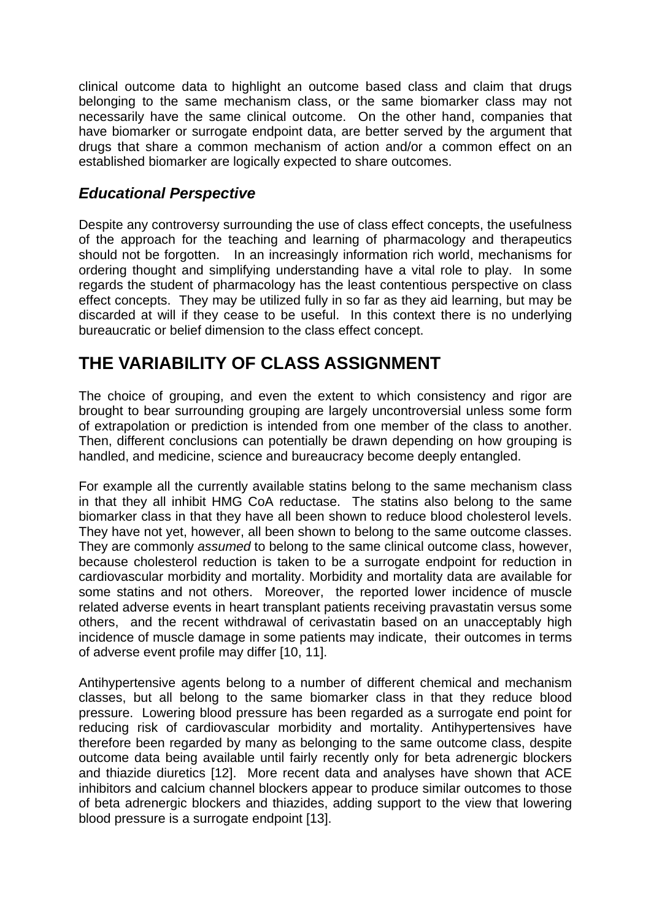clinical outcome data to highlight an outcome based class and claim that drugs belonging to the same mechanism class, or the same biomarker class may not necessarily have the same clinical outcome. On the other hand, companies that have biomarker or surrogate endpoint data, are better served by the argument that drugs that share a common mechanism of action and/or a common effect on an established biomarker are logically expected to share outcomes.

## *Educational Perspective*

Despite any controversy surrounding the use of class effect concepts, the usefulness of the approach for the teaching and learning of pharmacology and therapeutics should not be forgotten. In an increasingly information rich world, mechanisms for ordering thought and simplifying understanding have a vital role to play. In some regards the student of pharmacology has the least contentious perspective on class effect concepts. They may be utilized fully in so far as they aid learning, but may be discarded at will if they cease to be useful. In this context there is no underlying bureaucratic or belief dimension to the class effect concept.

# **THE VARIABILITY OF CLASS ASSIGNMENT**

The choice of grouping, and even the extent to which consistency and rigor are brought to bear surrounding grouping are largely uncontroversial unless some form of extrapolation or prediction is intended from one member of the class to another. Then, different conclusions can potentially be drawn depending on how grouping is handled, and medicine, science and bureaucracy become deeply entangled.

For example all the currently available statins belong to the same mechanism class in that they all inhibit HMG CoA reductase. The statins also belong to the same biomarker class in that they have all been shown to reduce blood cholesterol levels. They have not yet, however, all been shown to belong to the same outcome classes. They are commonly *assumed* to belong to the same clinical outcome class, however, because cholesterol reduction is taken to be a surrogate endpoint for reduction in cardiovascular morbidity and mortality. Morbidity and mortality data are available for some statins and not others. Moreover, the reported lower incidence of muscle related adverse events in heart transplant patients receiving pravastatin versus some others, and the recent withdrawal of cerivastatin based on an unacceptably high incidence of muscle damage in some patients may indicate, their outcomes in terms of adverse event profile may differ [10, 11].

Antihypertensive agents belong to a number of different chemical and mechanism classes, but all belong to the same biomarker class in that they reduce blood pressure. Lowering blood pressure has been regarded as a surrogate end point for reducing risk of cardiovascular morbidity and mortality. Antihypertensives have therefore been regarded by many as belonging to the same outcome class, despite outcome data being available until fairly recently only for beta adrenergic blockers and thiazide diuretics [12]. More recent data and analyses have shown that ACE inhibitors and calcium channel blockers appear to produce similar outcomes to those of beta adrenergic blockers and thiazides, adding support to the view that lowering blood pressure is a surrogate endpoint [13].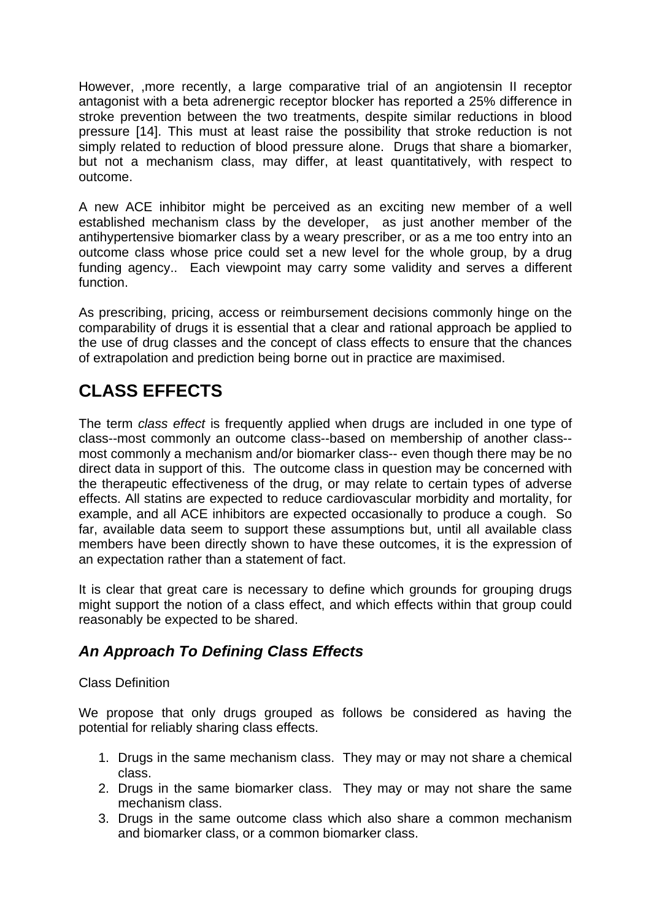However, ,more recently, a large comparative trial of an angiotensin II receptor antagonist with a beta adrenergic receptor blocker has reported a 25% difference in stroke prevention between the two treatments, despite similar reductions in blood pressure [14]. This must at least raise the possibility that stroke reduction is not simply related to reduction of blood pressure alone. Drugs that share a biomarker, but not a mechanism class, may differ, at least quantitatively, with respect to outcome.

A new ACE inhibitor might be perceived as an exciting new member of a well established mechanism class by the developer, as just another member of the antihypertensive biomarker class by a weary prescriber, or as a me too entry into an outcome class whose price could set a new level for the whole group, by a drug funding agency.. Each viewpoint may carry some validity and serves a different function.

As prescribing, pricing, access or reimbursement decisions commonly hinge on the comparability of drugs it is essential that a clear and rational approach be applied to the use of drug classes and the concept of class effects to ensure that the chances of extrapolation and prediction being borne out in practice are maximised.

# **CLASS EFFECTS**

The term *class effect* is frequently applied when drugs are included in one type of class--most commonly an outcome class--based on membership of another class- most commonly a mechanism and/or biomarker class-- even though there may be no direct data in support of this. The outcome class in question may be concerned with the therapeutic effectiveness of the drug, or may relate to certain types of adverse effects. All statins are expected to reduce cardiovascular morbidity and mortality, for example, and all ACE inhibitors are expected occasionally to produce a cough. So far, available data seem to support these assumptions but, until all available class members have been directly shown to have these outcomes, it is the expression of an expectation rather than a statement of fact.

It is clear that great care is necessary to define which grounds for grouping drugs might support the notion of a class effect, and which effects within that group could reasonably be expected to be shared.

## *An Approach To Defining Class Effects*

#### Class Definition

We propose that only drugs grouped as follows be considered as having the potential for reliably sharing class effects.

- 1. Drugs in the same mechanism class. They may or may not share a chemical class.
- 2. Drugs in the same biomarker class. They may or may not share the same mechanism class.
- 3. Drugs in the same outcome class which also share a common mechanism and biomarker class, or a common biomarker class.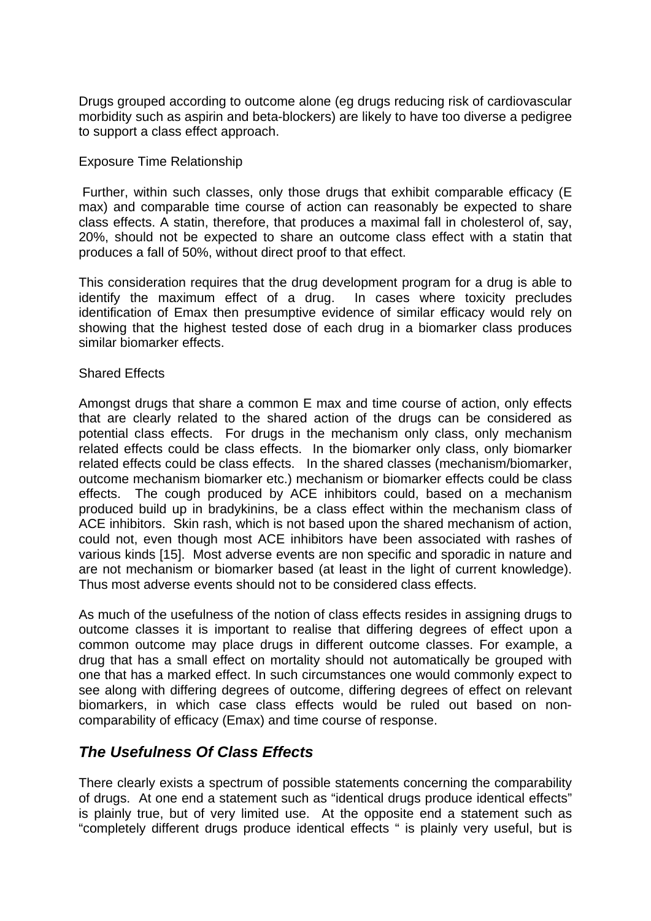Drugs grouped according to outcome alone (eg drugs reducing risk of cardiovascular morbidity such as aspirin and beta-blockers) are likely to have too diverse a pedigree to support a class effect approach.

#### Exposure Time Relationship

 Further, within such classes, only those drugs that exhibit comparable efficacy (E max) and comparable time course of action can reasonably be expected to share class effects. A statin, therefore, that produces a maximal fall in cholesterol of, say, 20%, should not be expected to share an outcome class effect with a statin that produces a fall of 50%, without direct proof to that effect.

This consideration requires that the drug development program for a drug is able to identify the maximum effect of a drug. In cases where toxicity precludes identification of Emax then presumptive evidence of similar efficacy would rely on showing that the highest tested dose of each drug in a biomarker class produces similar biomarker effects.

#### Shared Effects

Amongst drugs that share a common E max and time course of action, only effects that are clearly related to the shared action of the drugs can be considered as potential class effects. For drugs in the mechanism only class, only mechanism related effects could be class effects. In the biomarker only class, only biomarker related effects could be class effects. In the shared classes (mechanism/biomarker, outcome mechanism biomarker etc.) mechanism or biomarker effects could be class effects. The cough produced by ACE inhibitors could, based on a mechanism produced build up in bradykinins, be a class effect within the mechanism class of ACE inhibitors. Skin rash, which is not based upon the shared mechanism of action, could not, even though most ACE inhibitors have been associated with rashes of various kinds [15]. Most adverse events are non specific and sporadic in nature and are not mechanism or biomarker based (at least in the light of current knowledge). Thus most adverse events should not to be considered class effects.

As much of the usefulness of the notion of class effects resides in assigning drugs to outcome classes it is important to realise that differing degrees of effect upon a common outcome may place drugs in different outcome classes. For example, a drug that has a small effect on mortality should not automatically be grouped with one that has a marked effect. In such circumstances one would commonly expect to see along with differing degrees of outcome, differing degrees of effect on relevant biomarkers, in which case class effects would be ruled out based on noncomparability of efficacy (Emax) and time course of response.

#### *The Usefulness Of Class Effects*

There clearly exists a spectrum of possible statements concerning the comparability of drugs. At one end a statement such as "identical drugs produce identical effects" is plainly true, but of very limited use. At the opposite end a statement such as "completely different drugs produce identical effects " is plainly very useful, but is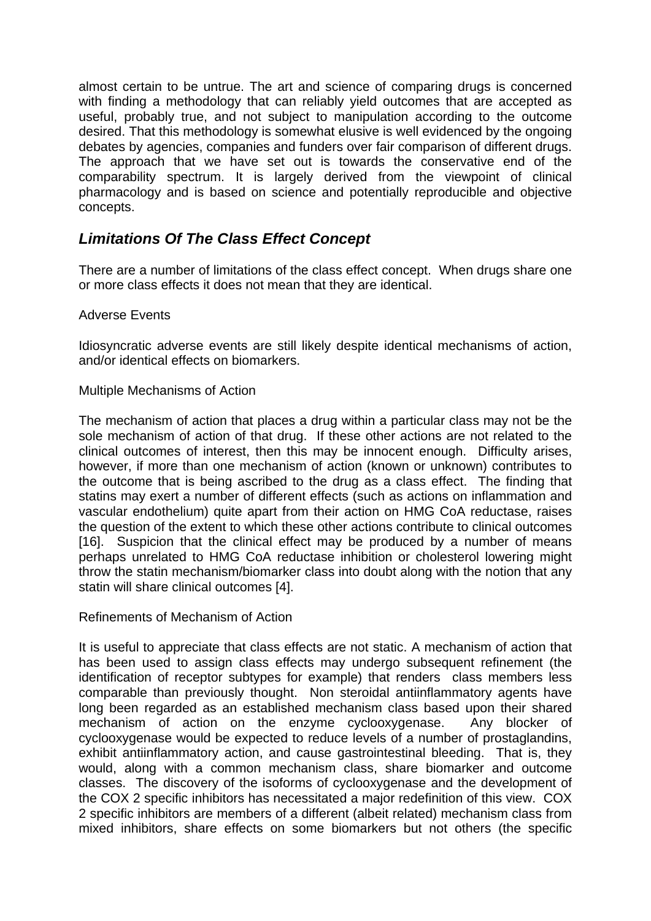almost certain to be untrue. The art and science of comparing drugs is concerned with finding a methodology that can reliably yield outcomes that are accepted as useful, probably true, and not subject to manipulation according to the outcome desired. That this methodology is somewhat elusive is well evidenced by the ongoing debates by agencies, companies and funders over fair comparison of different drugs. The approach that we have set out is towards the conservative end of the comparability spectrum. It is largely derived from the viewpoint of clinical pharmacology and is based on science and potentially reproducible and objective concepts.

## *Limitations Of The Class Effect Concept*

There are a number of limitations of the class effect concept. When drugs share one or more class effects it does not mean that they are identical.

#### Adverse Events

Idiosyncratic adverse events are still likely despite identical mechanisms of action, and/or identical effects on biomarkers.

#### Multiple Mechanisms of Action

The mechanism of action that places a drug within a particular class may not be the sole mechanism of action of that drug. If these other actions are not related to the clinical outcomes of interest, then this may be innocent enough. Difficulty arises, however, if more than one mechanism of action (known or unknown) contributes to the outcome that is being ascribed to the drug as a class effect. The finding that statins may exert a number of different effects (such as actions on inflammation and vascular endothelium) quite apart from their action on HMG CoA reductase, raises the question of the extent to which these other actions contribute to clinical outcomes [16]. Suspicion that the clinical effect may be produced by a number of means perhaps unrelated to HMG CoA reductase inhibition or cholesterol lowering might throw the statin mechanism/biomarker class into doubt along with the notion that any statin will share clinical outcomes [4].

Refinements of Mechanism of Action

It is useful to appreciate that class effects are not static. A mechanism of action that has been used to assign class effects may undergo subsequent refinement (the identification of receptor subtypes for example) that renders class members less comparable than previously thought. Non steroidal antiinflammatory agents have long been regarded as an established mechanism class based upon their shared mechanism of action on the enzyme cyclooxygenase. Any blocker of cyclooxygenase would be expected to reduce levels of a number of prostaglandins, exhibit antiinflammatory action, and cause gastrointestinal bleeding. That is, they would, along with a common mechanism class, share biomarker and outcome classes. The discovery of the isoforms of cyclooxygenase and the development of the COX 2 specific inhibitors has necessitated a major redefinition of this view. COX 2 specific inhibitors are members of a different (albeit related) mechanism class from mixed inhibitors, share effects on some biomarkers but not others (the specific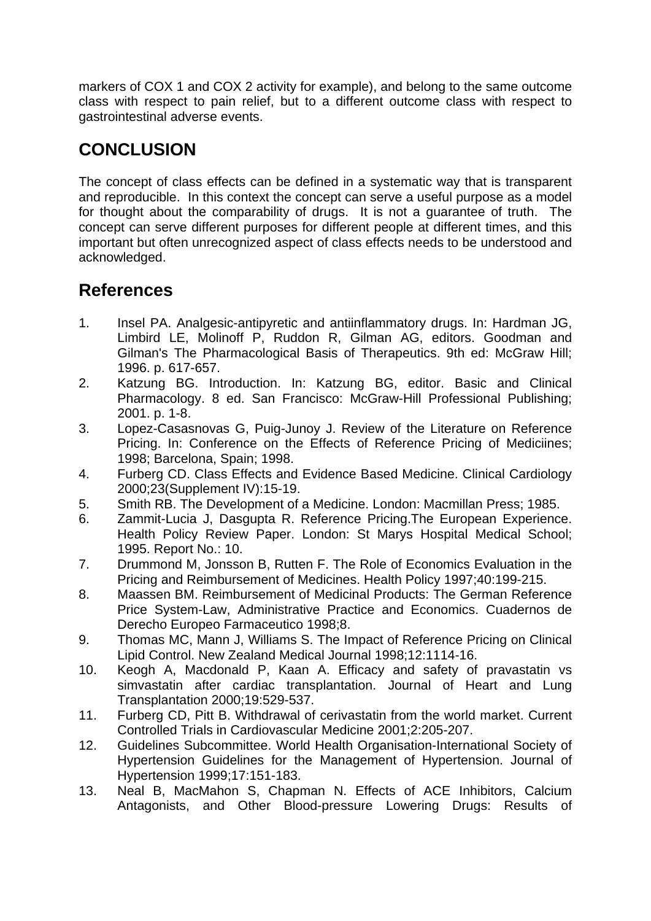markers of COX 1 and COX 2 activity for example), and belong to the same outcome class with respect to pain relief, but to a different outcome class with respect to gastrointestinal adverse events.

# **CONCLUSION**

The concept of class effects can be defined in a systematic way that is transparent and reproducible. In this context the concept can serve a useful purpose as a model for thought about the comparability of drugs. It is not a guarantee of truth. The concept can serve different purposes for different people at different times, and this important but often unrecognized aspect of class effects needs to be understood and acknowledged.

# **References**

- 1. Insel PA. Analgesic-antipyretic and antiinflammatory drugs. In: Hardman JG, Limbird LE, Molinoff P, Ruddon R, Gilman AG, editors. Goodman and Gilman's The Pharmacological Basis of Therapeutics. 9th ed: McGraw Hill; 1996. p. 617-657.
- 2. Katzung BG. Introduction. In: Katzung BG, editor. Basic and Clinical Pharmacology. 8 ed. San Francisco: McGraw-Hill Professional Publishing; 2001. p. 1-8.
- 3. Lopez-Casasnovas G, Puig-Junoy J. Review of the Literature on Reference Pricing. In: Conference on the Effects of Reference Pricing of Mediciines; 1998; Barcelona, Spain; 1998.
- 4. Furberg CD. Class Effects and Evidence Based Medicine. Clinical Cardiology 2000;23(Supplement IV):15-19.
- 5. Smith RB. The Development of a Medicine. London: Macmillan Press; 1985.
- 6. Zammit-Lucia J, Dasgupta R. Reference Pricing.The European Experience. Health Policy Review Paper. London: St Marys Hospital Medical School; 1995. Report No.: 10.
- 7. Drummond M, Jonsson B, Rutten F. The Role of Economics Evaluation in the Pricing and Reimbursement of Medicines. Health Policy 1997;40:199-215.
- 8. Maassen BM. Reimbursement of Medicinal Products: The German Reference Price System-Law, Administrative Practice and Economics. Cuadernos de Derecho Europeo Farmaceutico 1998;8.
- 9. Thomas MC, Mann J, Williams S. The Impact of Reference Pricing on Clinical Lipid Control. New Zealand Medical Journal 1998;12:1114-16.
- 10. Keogh A, Macdonald P, Kaan A. Efficacy and safety of pravastatin vs simvastatin after cardiac transplantation. Journal of Heart and Lung Transplantation 2000;19:529-537.
- 11. Furberg CD, Pitt B. Withdrawal of cerivastatin from the world market. Current Controlled Trials in Cardiovascular Medicine 2001;2:205-207.
- 12. Guidelines Subcommittee. World Health Organisation-International Society of Hypertension Guidelines for the Management of Hypertension. Journal of Hypertension 1999;17:151-183.
- 13. Neal B, MacMahon S, Chapman N. Effects of ACE Inhibitors, Calcium Antagonists, and Other Blood-pressure Lowering Drugs: Results of